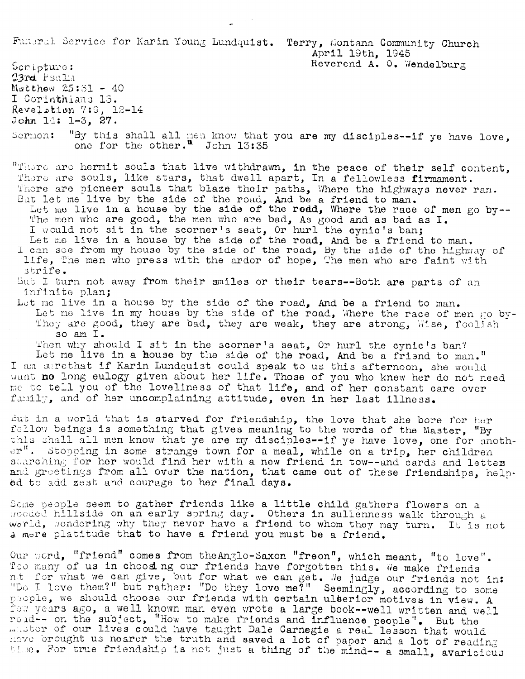Fundral Service for Karin Young Lundquist. Terry, Montana Community Church

Scripture: 23rd Psala Matthew  $25:51 - 40$ I Corinthians 13. Revelstion 7:9, 12-14 John  $14: 1-3, 27.$ 

"By this shall all men know that you are my disciples--if ye have love, one for the other." John 13:35 Sormon:

"There are hermit souls that live withdrawn, in the peace of their self content, There are souls, like stars, that dwell apart, In a fellowless firmament. There are pioneer souls that blaze their paths, Where the highways never ran.<br>But let me live by the side of the road, And be a friend to man.<br>Let me live in a house by the side of the road, Where the race of men go by--

The men who are good, the men who are bad, As good and as bad as I.

I would not sit in the scorner's seat, Or hurl the cynic's ban;<br>Let me live in a house by the side of the road, And be a friend to man. I can see from my house by the side of the road, By the side of the highway of life, The men who press with the ardor of hope, The men who are faint with strife.

But I turn not away from their smiles or their tears--Both are parts of an infinite plan;

Let me live in a house by the side of the road, And be a friend to man. Let me live in my house by the side of the road, Where the race of men go by-They are good, they are bad, they are weak, they are strong, Wise, foolish so am I.

Then why should I sit in the scorner's seat, Or hurl the cynic's ban? Let me live in a house by the side of the road, And be a friend to man." I am surethat if Karin Lundquist could speak to us this afternoon, she would want no long eulogy given about her life. Those of you who knew her do not need me to tell you of the loveliness of that life, and of her constant care over family, and of her uncomplaining attitude, even in her last illness.

But in a world that is starved for friendship, the love that she bore for her fellow beings is something that gives meaning to the words of the Master, "By this shall all men know that ye are my disciples--if ye have love, one for anoth $er$ ". Stopping in some strange town for a meal, while on a trip, her children starching for her would find her with a new friend in tow--and cards and letter and greetings from all over the nation, that came out of these friendships, helped to add zest and courage to her final days.

Some people seem to gather friends like a little child gathers flowers on a gooded hillside on an early spring day. Others in sullenness walk through a world, sondering why they never have a friend to whom they may turn. It is not a mere platitude that to have a friend you must be a friend.

Our word, "friend" comes from the Anglo-Saxon "freon", which meant, "to love". Too many of us in choosing our friends have forgotten this. We make friends nt for what we can give, but for what we can get. We judge our friends not in: "Do I love them?" but rather: "Do they love me?" Seemingly, according to some people, we should choose our friends with certain ulterior motives in view. A few vears ago, a well known man even wrote a large book--well written and well reid-- on the subject, "How to make iriends and influence people". But the master of our lives could have taught Dale Carnegie a real lesson that would have brought us nearer the truth and saved a lot of paper and a lot of reading time. For true friendship is not just a thing of the mind-- a small, avaricious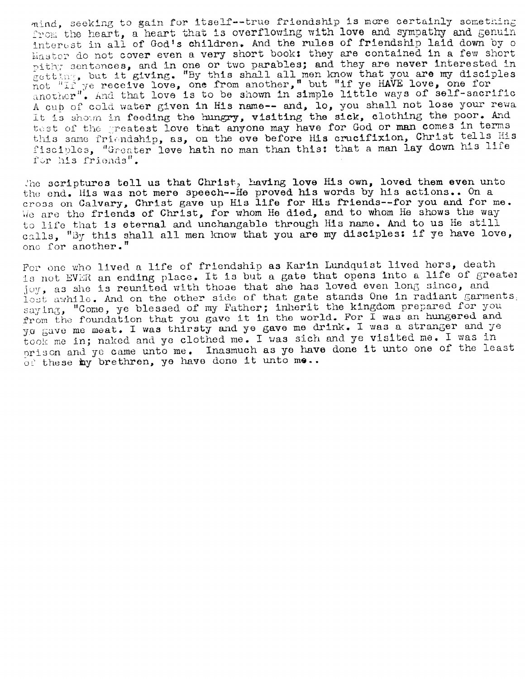mind, seeking to gain for itself--true friendship is more certainly something from the heart, a heart that is overflowing with love and sympathy and genuin interest in all of God's children. And the rules of friendship laid down by o Master do not cover even a very short book: they are contained in a few short pithy sentences, and in one or two parables; and they are never interested in getting, but it giving. "By this shall all men know that you are my disciples not "If ye receive love, one from another," but "if ye HAVE love, one for another". And that love is to be shown in simple little ways of self-s A cup of cold water given in His name-- and, lo, you shall not lose your rewa It is shown in feeding the hungry, visiting the sick, clothing the poor. And test of the greatest love that anyone may have for God or man comes in terms this same friendship, as, on the eve before His crucifixion, Christ tells His fisciples, "Greater love hath no man than this: that a man lay down his life for his friends".

The scriptures tell us that Christ, having love His own, loved them even unto the end. His was not mere speech--He proved his words by his actions.. On a cross on Calvary, Christ gave up His life for His friends--for you and for me. We are the friends of Christ, for whom He died, and to whom He shows the way to life that is eternal and unchangable through His name. And to us He still calls, "By this shall all men know that you are my disciples: if ye have love, one for another."

For one who lived a life of friendship as Karin Lundquist lived hers, death is not EVER an ending place. It is but a gate that opens into a life of greater joy, as she is reunited with those that she has loved even long since, and lost awhile. And on the other side of that gate stands One in radiant garments. saying, "Come, ye blessed of my Father; inherit the kingdom prepared for you from the foundation that you gave it in the world. For I was an hungered and yo gave me meat. I was thirsty and ye gave me drink. I was a strange took me in; naked and ye clothed me. I was sich and ye visited me. I was in prison and ye came unto me. Inasmuch as ye have done it unto one of the least of these my brethren, ye have done it unto me..